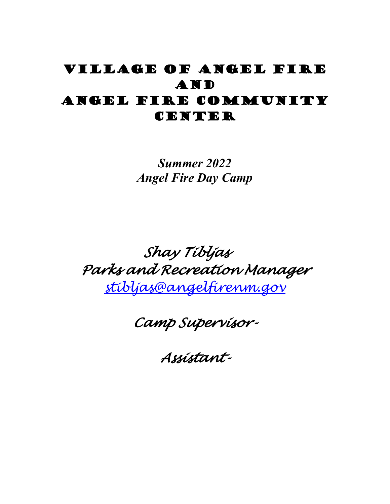## Village of Angel Fire **AND** Angel Fire Community CENTER

*Summer 2022 Angel Fire Day Camp*

# *Shay Tibljas Parks and Recreation Manager [stibljas@angelfirenm.gov](mailto:stibljas@angelfirenm.gov)*

*Camp Supervisor-* 

*Assistant-*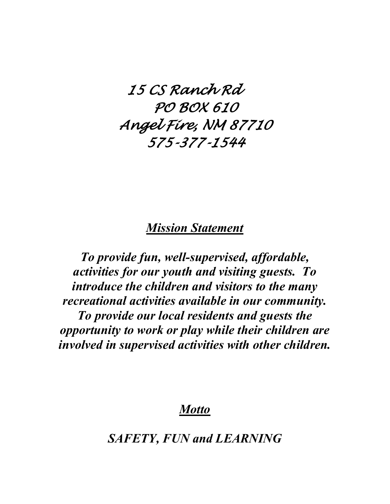*15 CS Ranch Rd PO BOX 610 Angel Fire, NM 87710 575-377-1544* 

### *Mission Statement*

*To provide fun, well-supervised, affordable, activities for our youth and visiting guests. To introduce the children and visitors to the many recreational activities available in our community. To provide our local residents and guests the opportunity to work or play while their children are involved in supervised activities with other children.*

*Motto*

*SAFETY, FUN and LEARNING*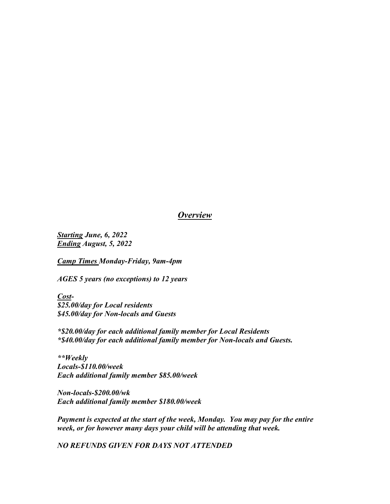#### *Overview*

*Starting June, 6, 2022 Ending August, 5, 2022* 

*Camp Times Monday-Friday, 9am-4pm*

*AGES 5 years (no exceptions) to 12 years* 

*Cost- \$25.00/day for Local residents \$45.00/day for Non-locals and Guests* 

*\*\$20.00/day for each additional family member for Local Residents \*\$40.00/day for each additional family member for Non-locals and Guests.*

*\*\*Weekly Locals-\$110.00/week Each additional family member \$85.00/week*

*Non-locals-\$200.00/wk Each additional family member \$180.00/week* 

*Payment is expected at the start of the week, Monday. You may pay for the entire week, or for however many days your child will be attending that week.* 

*NO REFUNDS GIVEN FOR DAYS NOT ATTENDED*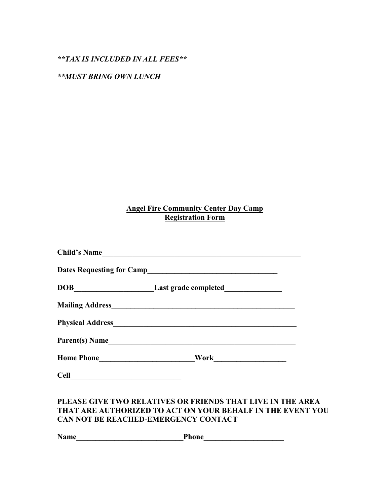#### *\*\*TAX IS INCLUDED IN ALL FEES\*\**

#### *\*\*MUST BRING OWN LUNCH*

#### **Angel Fire Community Center Day Camp Registration Form**

|                | Child's Name                                                                      |
|----------------|-----------------------------------------------------------------------------------|
|                | Dates Requesting for Camp<br><u>Lates Requesting for Camp</u>                     |
|                | DOB__________________________Last grade completed________________________________ |
|                |                                                                                   |
|                |                                                                                   |
| Parent(s) Name |                                                                                   |
| Home Phone     |                                                                                   |
| <b>Cell</b>    |                                                                                   |

#### **PLEASE GIVE TWO RELATIVES OR FRIENDS THAT LIVE IN THE AREA THAT ARE AUTHORIZED TO ACT ON YOUR BEHALF IN THE EVENT YOU CAN NOT BE REACHED-EMERGENCY CONTACT**

**Name\_\_\_\_\_\_\_\_\_\_\_\_\_\_\_\_\_\_\_\_\_\_\_\_\_\_\_\_Phone\_\_\_\_\_\_\_\_\_\_\_\_\_\_\_\_\_\_\_\_\_**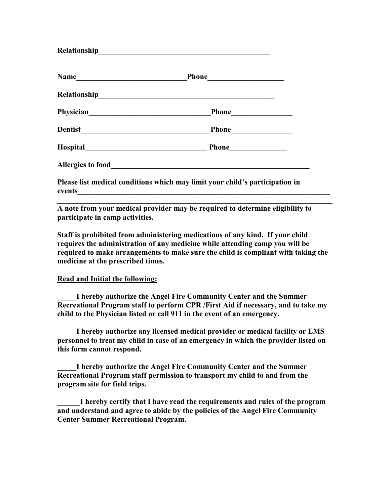**Please list medical conditions which may limit your child's participation in events** 

**\_\_\_\_\_\_\_\_\_\_\_\_\_\_\_\_\_\_\_\_\_\_\_\_\_\_\_\_\_\_\_\_\_\_\_\_\_\_\_\_\_\_\_\_\_\_\_\_\_\_\_\_\_\_\_\_\_\_\_\_\_\_\_\_\_\_\_\_\_\_\_\_ A note from your medical provider may be required to determine eligibility to participate in camp activities.**

**Staff is prohibited from administering medications of any kind. If your child requires the administration of any medicine while attending camp you will be required to make arrangements to make sure the child is compliant with taking the medicine at the prescribed times.**

#### **Read and Initial the following:**

**Relationship\_\_\_\_\_\_\_\_\_\_\_\_\_\_\_\_\_\_\_\_\_\_\_\_\_\_\_\_\_\_\_\_\_\_\_\_\_\_\_\_\_\_\_\_\_** 

**\_\_\_\_\_I hereby authorize the Angel Fire Community Center and the Summer Recreational Program staff to perform CPR /First Aid if necessary, and to take my child to the Physician listed or call 911 in the event of an emergency.** 

**\_\_\_\_\_I hereby authorize any licensed medical provider or medical facility or EMS personnel to treat my child in case of an emergency in which the provider listed on this form cannot respond.**

**\_\_\_\_\_I hereby authorize the Angel Fire Community Center and the Summer Recreational Program staff permission to transport my child to and from the program site for field trips.**

**\_\_\_\_\_\_I hereby certify that I have read the requirements and rules of the program and understand and agree to abide by the policies of the Angel Fire Community Center Summer Recreational Program.**